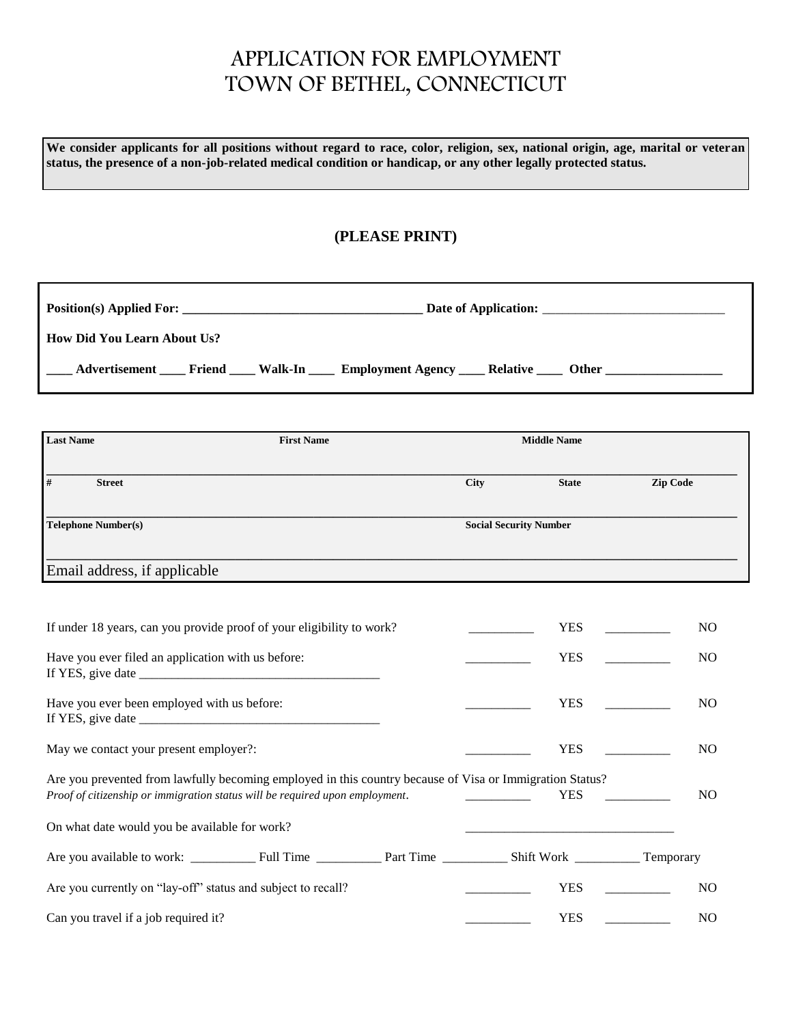# APPLICATION FOR EMPLOYMENT TOWN OF BETHEL, CONNECTICUT

**We consider applicants for all positions without regard to race, color, religion, sex, national origin, age, marital or veteran status, the presence of a non-job-related medical condition or handicap, or any other legally protected status.**

#### **(PLEASE PRINT)**

| Position(s) Applied For:                                                                                      |  |  |
|---------------------------------------------------------------------------------------------------------------|--|--|
| <b>How Did You Learn About Us?</b>                                                                            |  |  |
| Advertisement ______ Friend ______ Walk-In ______ Employment Agency ______ Relative _____ Other _____________ |  |  |

| <b>Last Name</b><br><b>First Name</b>                                                                                                                                                    |  |                               | <b>Middle Name</b> |          |                |
|------------------------------------------------------------------------------------------------------------------------------------------------------------------------------------------|--|-------------------------------|--------------------|----------|----------------|
| #<br><b>Street</b>                                                                                                                                                                       |  | <b>City</b>                   | <b>State</b>       | Zip Code |                |
| <b>Telephone Number(s)</b>                                                                                                                                                               |  | <b>Social Security Number</b> |                    |          |                |
| Email address, if applicable                                                                                                                                                             |  |                               |                    |          |                |
| If under 18 years, can you provide proof of your eligibility to work?                                                                                                                    |  |                               | <b>YES</b>         |          | N <sub>O</sub> |
| Have you ever filed an application with us before:                                                                                                                                       |  |                               | <b>YES</b>         |          | N <sub>O</sub> |
| Have you ever been employed with us before:                                                                                                                                              |  |                               | <b>YES</b>         |          | N <sub>O</sub> |
| May we contact your present employer?:                                                                                                                                                   |  |                               | <b>YES</b>         |          | N <sub>O</sub> |
| Are you prevented from lawfully becoming employed in this country because of Visa or Immigration Status?<br>Proof of citizenship or immigration status will be required upon employment. |  |                               | <b>YES</b>         |          | N <sub>O</sub> |
| On what date would you be available for work?                                                                                                                                            |  |                               |                    |          |                |
|                                                                                                                                                                                          |  |                               |                    |          |                |
| Are you currently on "lay-off" status and subject to recall?                                                                                                                             |  |                               | <b>YES</b>         |          | N <sub>O</sub> |
| Can you travel if a job required it?                                                                                                                                                     |  |                               | <b>YES</b>         |          | N <sub>O</sub> |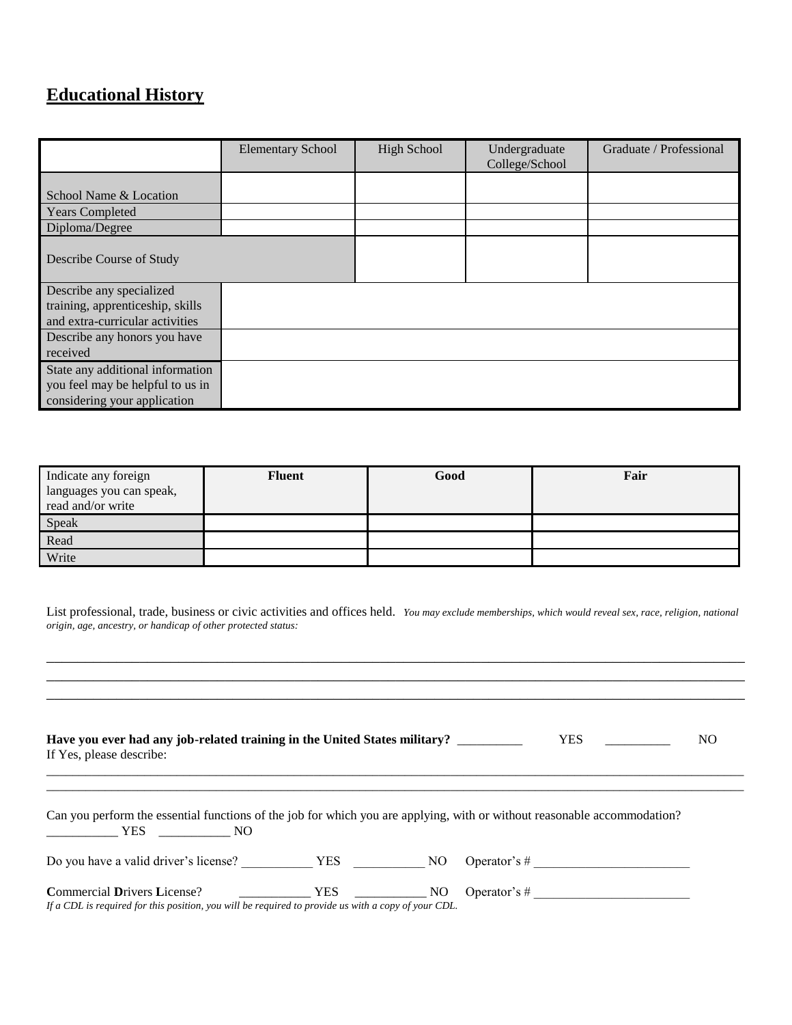## **Educational History**

|                                                                                                      | <b>Elementary School</b> | <b>High School</b> | Undergraduate<br>College/School | Graduate / Professional |
|------------------------------------------------------------------------------------------------------|--------------------------|--------------------|---------------------------------|-------------------------|
|                                                                                                      |                          |                    |                                 |                         |
| School Name & Location                                                                               |                          |                    |                                 |                         |
| <b>Years Completed</b>                                                                               |                          |                    |                                 |                         |
| Diploma/Degree                                                                                       |                          |                    |                                 |                         |
| Describe Course of Study                                                                             |                          |                    |                                 |                         |
| Describe any specialized<br>training, apprenticeship, skills<br>and extra-curricular activities      |                          |                    |                                 |                         |
| Describe any honors you have<br>received                                                             |                          |                    |                                 |                         |
| State any additional information<br>you feel may be helpful to us in<br>considering your application |                          |                    |                                 |                         |

| Indicate any foreign<br>languages you can speak,<br>read and/or write | <b>Fluent</b> | Good | Fair |
|-----------------------------------------------------------------------|---------------|------|------|
| Speak                                                                 |               |      |      |
| Read                                                                  |               |      |      |
| Write                                                                 |               |      |      |

List professional, trade, business or civic activities and offices held. *You may exclude memberships, which would reveal sex, race, religion, national origin, age, ancestry, or handicap of other protected status:*

\_\_\_\_\_\_\_\_\_\_\_\_\_\_\_\_\_\_\_\_\_\_\_\_\_\_\_\_\_\_\_\_\_\_\_\_\_\_\_\_\_\_\_\_\_\_\_\_\_\_\_\_\_\_\_\_\_\_\_\_\_\_\_\_\_\_\_\_\_\_\_\_\_\_\_\_\_\_\_\_\_\_\_\_\_\_\_\_\_\_ \_\_\_\_\_\_\_\_\_\_\_\_\_\_\_\_\_\_\_\_\_\_\_\_\_\_\_\_\_\_\_\_\_\_\_\_\_\_\_\_\_\_\_\_\_\_\_\_\_\_\_\_\_\_\_\_\_\_\_\_\_\_\_\_\_\_\_\_\_\_\_\_\_\_\_\_\_\_\_\_\_\_\_\_\_\_\_\_\_\_

| Have you ever had any job-related training in the United States military? _________<br>If Yes, please describe:                    | <b>YES</b>      | N <sub>O</sub> |
|------------------------------------------------------------------------------------------------------------------------------------|-----------------|----------------|
| Can you perform the essential functions of the job for which you are applying, with or without reasonable accommodation?<br>YES NO |                 |                |
| Do you have a valid driver's license? YES NO                                                                                       | Operator's $\#$ |                |
| If a CDL is required for this position, you will be required to provide us with a copy of your CDL.                                |                 |                |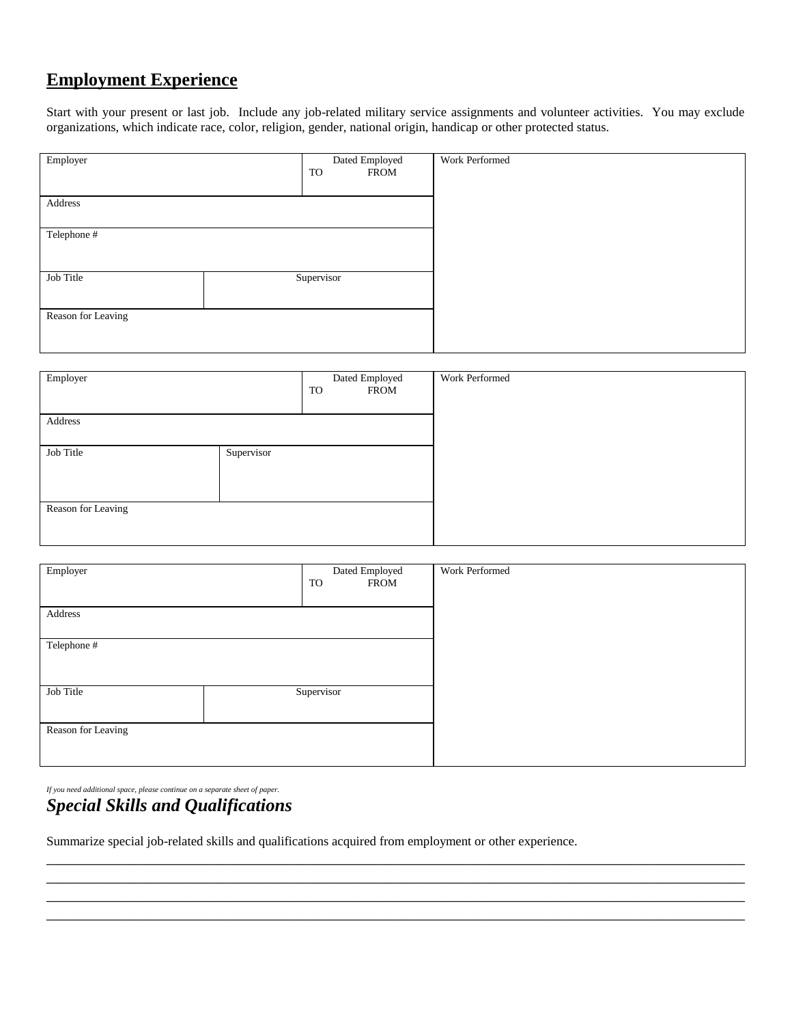## **Employment Experience**

Start with your present or last job. Include any job-related military service assignments and volunteer activities. You may exclude organizations, which indicate race, color, religion, gender, national origin, handicap or other protected status.

| Employer           | Dated Employed<br><b>FROM</b><br><b>TO</b> | Work Performed |
|--------------------|--------------------------------------------|----------------|
| Address            |                                            |                |
| Telephone #        |                                            |                |
|                    |                                            |                |
| Job Title          | Supervisor                                 |                |
| Reason for Leaving |                                            |                |
|                    |                                            |                |

| Employer           |            | Dated Employed<br><b>FROM</b><br>TO | Work Performed |
|--------------------|------------|-------------------------------------|----------------|
| Address            |            |                                     |                |
| Job Title          | Supervisor |                                     |                |
| Reason for Leaving |            |                                     |                |

| Employer           | Dated Employed<br><b>FROM</b><br>TO | Work Performed |
|--------------------|-------------------------------------|----------------|
| Address            |                                     |                |
| Telephone #        |                                     |                |
| Job Title          | Supervisor                          |                |
| Reason for Leaving |                                     |                |

\_\_\_\_\_\_\_\_\_\_\_\_\_\_\_\_\_\_\_\_\_\_\_\_\_\_\_\_\_\_\_\_\_\_\_\_\_\_\_\_\_\_\_\_\_\_\_\_\_\_\_\_\_\_\_\_\_\_\_\_\_\_\_\_\_\_\_\_\_\_\_\_\_\_\_\_\_\_\_\_\_\_\_\_\_\_\_\_\_\_ \_\_\_\_\_\_\_\_\_\_\_\_\_\_\_\_\_\_\_\_\_\_\_\_\_\_\_\_\_\_\_\_\_\_\_\_\_\_\_\_\_\_\_\_\_\_\_\_\_\_\_\_\_\_\_\_\_\_\_\_\_\_\_\_\_\_\_\_\_\_\_\_\_\_\_\_\_\_\_\_\_\_\_\_\_\_\_\_\_\_ \_\_\_\_\_\_\_\_\_\_\_\_\_\_\_\_\_\_\_\_\_\_\_\_\_\_\_\_\_\_\_\_\_\_\_\_\_\_\_\_\_\_\_\_\_\_\_\_\_\_\_\_\_\_\_\_\_\_\_\_\_\_\_\_\_\_\_\_\_\_\_\_\_\_\_\_\_\_\_\_\_\_\_\_\_\_\_\_\_\_ \_\_\_\_\_\_\_\_\_\_\_\_\_\_\_\_\_\_\_\_\_\_\_\_\_\_\_\_\_\_\_\_\_\_\_\_\_\_\_\_\_\_\_\_\_\_\_\_\_\_\_\_\_\_\_\_\_\_\_\_\_\_\_\_\_\_\_\_\_\_\_\_\_\_\_\_\_\_\_\_\_\_\_\_\_\_\_\_\_\_

#### *If you need additional space, please continue on a separate sheet of paper. Special Skills and Qualifications*

Summarize special job-related skills and qualifications acquired from employment or other experience.